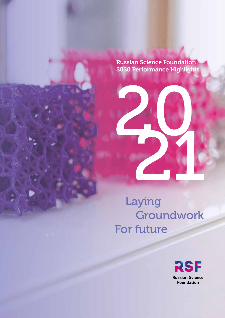Russian Science Foundation 2020 Performance Highlights

Laying Groundwork For future

Информация о деятельности Российского научного фонда в 2021 году

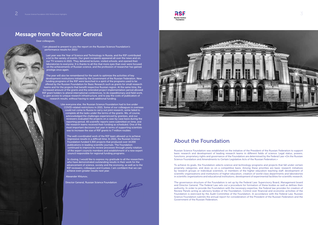## Message from the Director General

# About the Foundation

To achieve its goals, the Foundation selects science and technology programs and projects that fall under certain propriety categories, and does so on a competitive basis. Among these priorities are basic research initiatives by research groups or individual scientists, or members of the higher education teaching staff; development of scientific organizations and institutions of higher education, creation of world-class departments and laboratories in scientific organizations and educational institutions, development of experimental facilities for scientific research.

Russian Science Foundation was established on the initiative of the President of the Russian Federation to support basic research and development of leading research teams in different fields of science. Legal status, powers, functions, proprietary rights and governance of the Foundation are determined by the Federal Law «On the Russian Science Foundation and Amendments to Certain Legislative Acts of the Russian Federation.»

The governance structure of the Foundation is set up by the Federal Law: Supervisory Board, Management board and Director General. The Federal Law sets out a procedure for formation of these bodies as well as defines their authority. In order to provide the Foundation with the necessary expertise, the Federal law provides for creation of Review Panels acting as advisory bodies of the Foundation. Control over financial and economic activities of the Foundation is exercised by the Audit Committee of the Foundation. In accordance with the Federal Law, Russian Science Foundation submits the annual report for consideration of the President of the Russian Federation and the Government of the Russian Federation.

#### Dear colleagues,

I am pleased to present to you the report on the Russian Science Foundation's performance results for 2021!

Last year was the Year of Science and Technology in Russia, and the RSF contributed a lot to the variety of events. Our grant recipients appeared all over the news and on our TV screens in 2021. They delivered lectures, visited schools, and opened their laboratories to everyone. It is thanks to all this that more eyes than ever were focused on the achievements of Russian science, and the profession of researcher has gained prestige once again.

The year will also be remembered for the work to optimize the activities of key development institutions initiated by the Government of the Russian Federation. New funding programs of the RSF were launched in a spirit of the programs used to be offered by the Russian Foundation for Basic Research such as grants for small research teams and for the projects that benefit respective Russian region. At the same time, the increased amount of the grants and the extended project implementation period allowed RSF grant holders to attend international conferences, to do expeditionary and field work, to gain access to unique research infrastructure, and to pay the costs of publication of research results, without having to seek additional funding.

> Like everyone else, the Russian Science Foundation had to live under COVID-related restrictions in 2021. Some of our colleagues in overseas could not come to Russia to carry out joint research, some failed to complete all the tasks under the terms of the grants. We, of course, acknowledged the challenges experienced by grantees, and our reviewers evaluated the projects on a case-by-case basis during the reporting period. All scientific reports were submitted on time, and the research teams received their funding as scheduled. One of the most important decisions last year in terms of supporting scientists was to increase the size of RSF grants to 7 million roubles.

The well-coordinated work of the RSF team allowed us to achieve impressive results in a difficult time. In 2021, the Russian Science Foundation funded 5,300 projects that produced over 14,000 publications in leading scientific journals. The Foundation continued to improve its review processes through yearly rotation of the expert councils members and establishment of a new expert council responsible for regional funding programs.

In closing, I would like to express my gratitude to all the researchers who have demonstrated outstanding results in their work for the advancement of science, society and the economy, as well as to the RSF reviewers, colleagues and trustees. I am confident that we can achieve even greater results next year.

Alexander Khlunov,

Director General, Russian Science Foundation



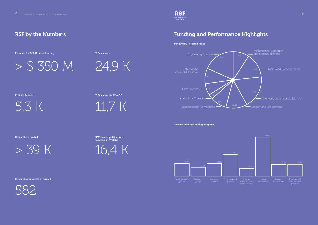# RSF by the Numbers

5



Estimate for FY 2021 total funding

5.3 K

Projects funded

> 39 K

Researchers funded

24,9 K

Рublications

11,7 K

Publications in Wos CC





RSF-related publications in media in FY 2021

582

Research organizations funded





# Funding and Performance Highlights

Funding by Research Areas

Success rates by Funding Programs